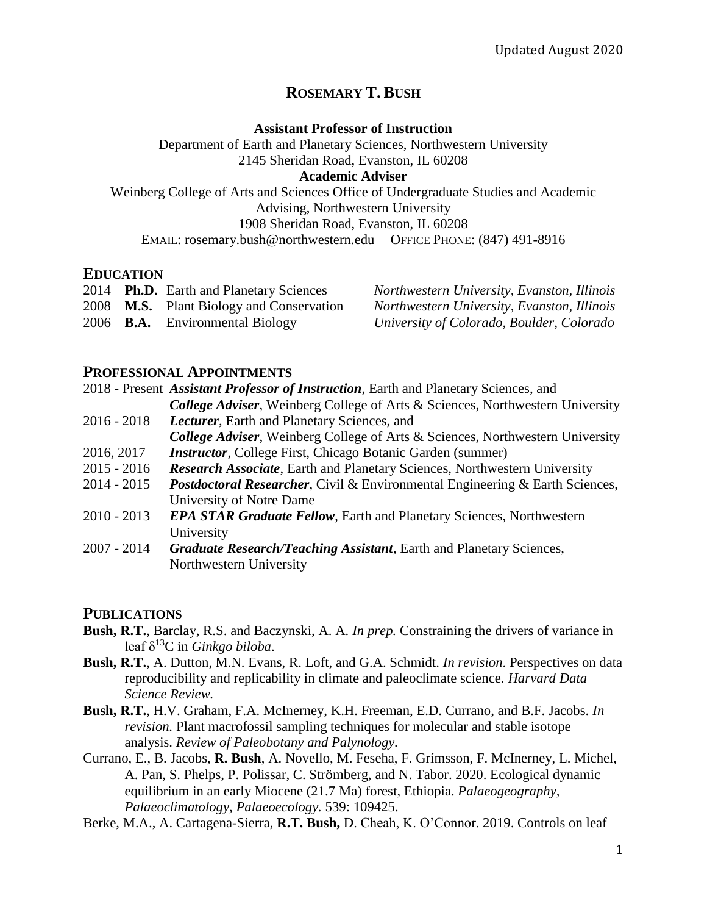# **ROSEMARY T. BUSH**

#### **Assistant Professor of Instruction**

Department of Earth and Planetary Sciences, Northwestern University 2145 Sheridan Road, Evanston, IL 60208 **Academic Adviser**

Weinberg College of Arts and Sciences Office of Undergraduate Studies and Academic Advising, Northwestern University 1908 Sheridan Road, Evanston, IL 60208 EMAIL: rosemary.bush@northwestern.edu OFFICE PHONE: (847) 491-8916

## **EDUCATION**

|  | 2014 Ph.D. Earth and Planetary Sciences         | Northwestern University, Evanston, Illinois |
|--|-------------------------------------------------|---------------------------------------------|
|  | 2008 <b>M.S.</b> Plant Biology and Conservation | Northwestern University, Evanston, Illinois |
|  | 2006 <b>B.A.</b> Environmental Biology          | University of Colorado, Boulder, Colorado   |

## **PROFESSIONAL APPOINTMENTS**

Northwestern University

2018 - Present *Assistant Professor of Instruction*, Earth and Planetary Sciences, and *College Adviser*, Weinberg College of Arts & Sciences, Northwestern University 2016 - 2018 *Lecturer*, Earth and Planetary Sciences, and *College Adviser*, Weinberg College of Arts & Sciences, Northwestern University 2016, 2017 *Instructor*, College First, Chicago Botanic Garden (summer) 2015 - 2016 *Research Associate*, Earth and Planetary Sciences, Northwestern University 2014 - 2015 *Postdoctoral Researcher*, Civil & Environmental Engineering & Earth Sciences, University of Notre Dame 2010 - 2013 *EPA STAR Graduate Fellow*, Earth and Planetary Sciences, Northwestern University 2007 - 2014 *Graduate Research/Teaching Assistant*, Earth and Planetary Sciences,

## **PUBLICATIONS**

- **Bush, R.T.**, Barclay, R.S. and Baczynski, A. A. *In prep.* Constraining the drivers of variance in leaf δ<sup>13</sup>C in *Ginkgo biloba*.
- **Bush, R.T.**, A. Dutton, M.N. Evans, R. Loft, and G.A. Schmidt. *In revision*. Perspectives on data reproducibility and replicability in climate and paleoclimate science. *Harvard Data Science Review.*
- **Bush, R.T.**, H.V. Graham, F.A. McInerney, K.H. Freeman, E.D. Currano, and B.F. Jacobs. *In revision.* Plant macrofossil sampling techniques for molecular and stable isotope analysis. *Review of Paleobotany and Palynology.*
- Currano, E., B. Jacobs, **R. Bush**, A. Novello, M. Feseha, F. Grímsson, F. McInerney, L. Michel, A. Pan, S. Phelps, P. Polissar, C. Strömberg, and N. Tabor. 2020. Ecological dynamic equilibrium in an early Miocene (21.7 Ma) forest, Ethiopia. *Palaeogeography, Palaeoclimatology, Palaeoecology.* 539: 109425.
- Berke, M.A., A. Cartagena-Sierra, **R.T. Bush,** D. Cheah, K. O'Connor. 2019. Controls on leaf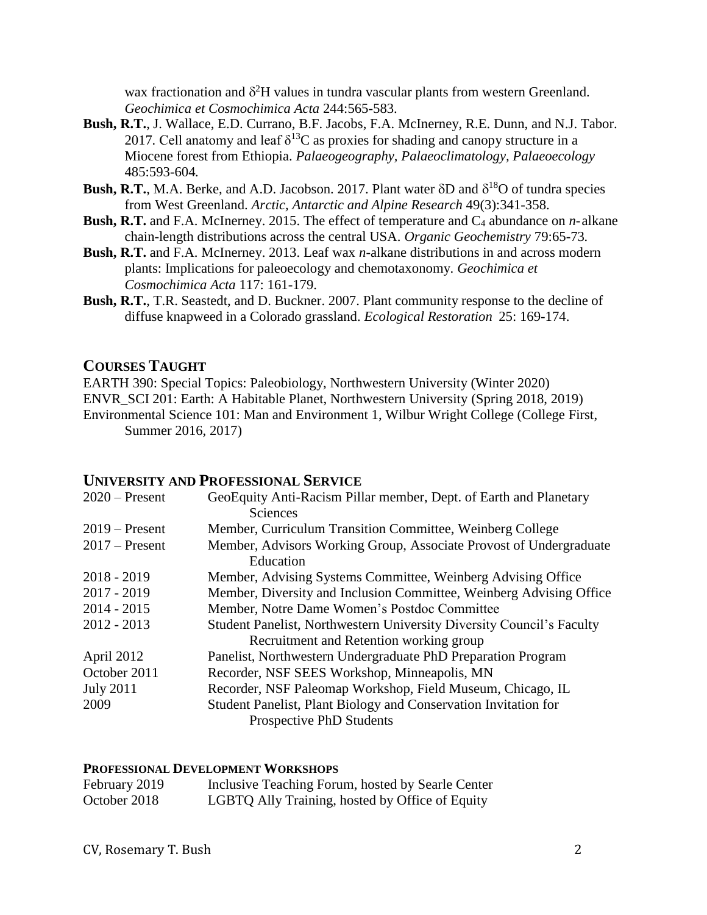wax fractionation and  $\delta^2$ H values in tundra vascular plants from western Greenland. *Geochimica et Cosmochimica Acta* 244:565-583.

- **Bush, R.T.**, J. Wallace, E.D. Currano, B.F. Jacobs, F.A. McInerney, R.E. Dunn, and N.J. Tabor. 2017. Cell anatomy and leaf  $\delta^{13}C$  as proxies for shading and canopy structure in a Miocene forest from Ethiopia. *Palaeogeography, Palaeoclimatology, Palaeoecology* 485:593-604*.*
- **Bush, R.T.**, M.A. Berke, and A.D. Jacobson. 2017. Plant water  $\delta$ D and  $\delta^{18}$ O of tundra species from West Greenland. *Arctic, Antarctic and Alpine Research* 49(3):341-358.
- **Bush, R.T.** and F.A. McInerney. 2015. The effect of temperature and C<sub>4</sub> abundance on *n*-alkane chain-length distributions across the central USA. *Organic Geochemistry* 79:65-73*.*
- **Bush, R.T.** and F.A. McInerney. 2013. Leaf wax *n*-alkane distributions in and across modern plants: Implications for paleoecology and chemotaxonomy. *Geochimica et Cosmochimica Acta* 117: 161-179.
- **Bush, R.T.**, T.R. Seastedt, and D. Buckner. 2007. Plant community response to the decline of diffuse knapweed in a Colorado grassland. *Ecological Restoration* 25: 169-174.

#### **COURSES TAUGHT**

EARTH 390: Special Topics: Paleobiology, Northwestern University (Winter 2020) ENVR\_SCI 201: Earth: A Habitable Planet, Northwestern University (Spring 2018, 2019) Environmental Science 101: Man and Environment 1, Wilbur Wright College (College First, Summer 2016, 2017)

## **UNIVERSITY AND PROFESSIONAL SERVICE**

| $2020$ – Present | GeoEquity Anti-Racism Pillar member, Dept. of Earth and Planetary     |
|------------------|-----------------------------------------------------------------------|
|                  | <b>Sciences</b>                                                       |
| $2019$ – Present | Member, Curriculum Transition Committee, Weinberg College             |
| $2017$ – Present | Member, Advisors Working Group, Associate Provost of Undergraduate    |
|                  | Education                                                             |
| $2018 - 2019$    | Member, Advising Systems Committee, Weinberg Advising Office          |
| $2017 - 2019$    | Member, Diversity and Inclusion Committee, Weinberg Advising Office   |
| $2014 - 2015$    | Member, Notre Dame Women's Postdoc Committee                          |
| $2012 - 2013$    | Student Panelist, Northwestern University Diversity Council's Faculty |
|                  | Recruitment and Retention working group                               |
| April 2012       | Panelist, Northwestern Undergraduate PhD Preparation Program          |
| October 2011     | Recorder, NSF SEES Workshop, Minneapolis, MN                          |
| <b>July 2011</b> | Recorder, NSF Paleomap Workshop, Field Museum, Chicago, IL            |
| 2009             | Student Panelist, Plant Biology and Conservation Invitation for       |
|                  | <b>Prospective PhD Students</b>                                       |

#### **PROFESSIONAL DEVELOPMENT WORKSHOPS**

| February 2019 | Inclusive Teaching Forum, hosted by Searle Center |
|---------------|---------------------------------------------------|
| October 2018  | LGBTQ Ally Training, hosted by Office of Equity   |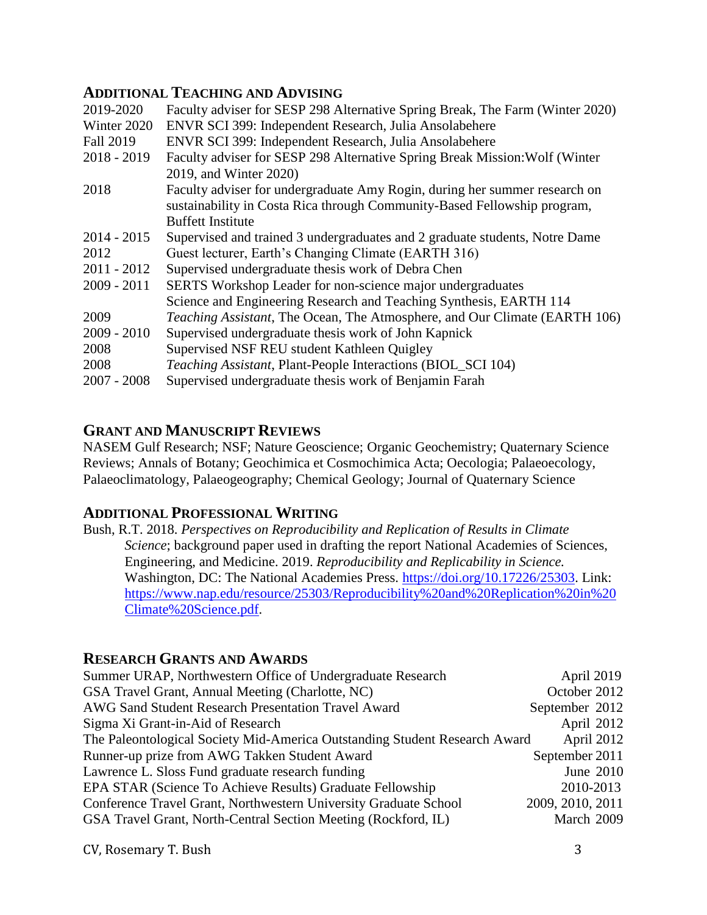# **ADDITIONAL TEACHING AND ADVISING**

| 2019-2020        | Faculty adviser for SESP 298 Alternative Spring Break, The Farm (Winter 2020)      |
|------------------|------------------------------------------------------------------------------------|
| Winter 2020      | ENVR SCI 399: Independent Research, Julia Ansolabehere                             |
| <b>Fall 2019</b> | ENVR SCI 399: Independent Research, Julia Ansolabehere                             |
| $2018 - 2019$    | Faculty adviser for SESP 298 Alternative Spring Break Mission: Wolf (Winter        |
|                  | 2019, and Winter 2020)                                                             |
| 2018             | Faculty adviser for undergraduate Amy Rogin, during her summer research on         |
|                  | sustainability in Costa Rica through Community-Based Fellowship program,           |
|                  | <b>Buffett Institute</b>                                                           |
| $2014 - 2015$    | Supervised and trained 3 undergraduates and 2 graduate students, Notre Dame        |
| 2012             | Guest lecturer, Earth's Changing Climate (EARTH 316)                               |
| $2011 - 2012$    | Supervised undergraduate thesis work of Debra Chen                                 |
| $2009 - 2011$    | SERTS Workshop Leader for non-science major undergraduates                         |
|                  | Science and Engineering Research and Teaching Synthesis, EARTH 114                 |
| 2009             | <i>Teaching Assistant</i> , The Ocean, The Atmosphere, and Our Climate (EARTH 106) |
| $2009 - 2010$    | Supervised undergraduate thesis work of John Kapnick                               |
| 2008             | Supervised NSF REU student Kathleen Quigley                                        |
| 2008             | <i>Teaching Assistant</i> , Plant-People Interactions (BIOL_SCI 104)               |
| $2007 - 2008$    | Supervised undergraduate thesis work of Benjamin Farah                             |
|                  |                                                                                    |

# **GRANT AND MANUSCRIPT REVIEWS**

NASEM Gulf Research; NSF; Nature Geoscience; Organic Geochemistry; Quaternary Science Reviews; Annals of Botany; Geochimica et Cosmochimica Acta; Oecologia; Palaeoecology, Palaeoclimatology, Palaeogeography; Chemical Geology; Journal of Quaternary Science

# **ADDITIONAL PROFESSIONAL WRITING**

Bush, R.T. 2018. *Perspectives on Reproducibility and Replication of Results in Climate Science*; background paper used in drafting the report National Academies of Sciences, Engineering, and Medicine. 2019. *Reproducibility and Replicability in Science.* Washington, DC: The National Academies Press. [https://doi.org/10.17226/25303.](https://doi.org/10.17226/25303) Link: [https://www.nap.edu/resource/25303/Reproducibility%20and%20Replication%20in%20](https://www.nap.edu/resource/25303/Reproducibility%20and%20Replication%20in%20Climate%20Science.pdf) [Climate%20Science.pdf.](https://www.nap.edu/resource/25303/Reproducibility%20and%20Replication%20in%20Climate%20Science.pdf)

# **RESEARCH GRANTS AND AWARDS**

| Summer URAP, Northwestern Office of Undergraduate Research                 | April 2019       |
|----------------------------------------------------------------------------|------------------|
| GSA Travel Grant, Annual Meeting (Charlotte, NC)                           | October 2012     |
| AWG Sand Student Research Presentation Travel Award                        | September 2012   |
| Sigma Xi Grant-in-Aid of Research                                          | April 2012       |
| The Paleontological Society Mid-America Outstanding Student Research Award | April 2012       |
| Runner-up prize from AWG Takken Student Award                              | September 2011   |
| Lawrence L. Sloss Fund graduate research funding                           | June 2010        |
| EPA STAR (Science To Achieve Results) Graduate Fellowship                  | 2010-2013        |
| Conference Travel Grant, Northwestern University Graduate School           | 2009, 2010, 2011 |
| GSA Travel Grant, North-Central Section Meeting (Rockford, IL)             | March 2009       |

CV, Rosemary T. Bush 3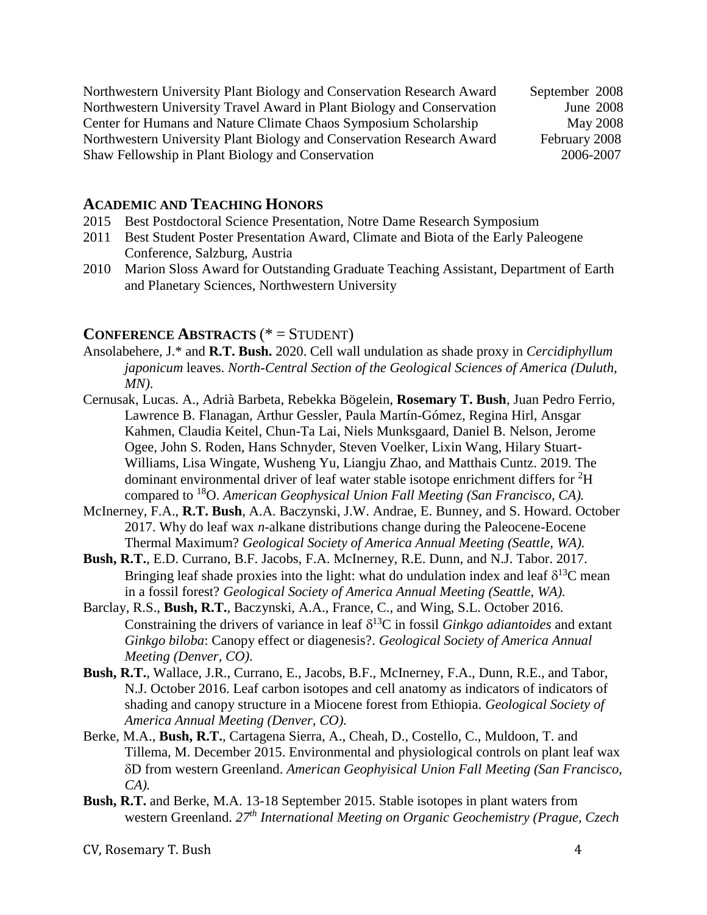| Northwestern University Plant Biology and Conservation Research Award  | September 2008 |
|------------------------------------------------------------------------|----------------|
| Northwestern University Travel Award in Plant Biology and Conservation | June 2008      |
| Center for Humans and Nature Climate Chaos Symposium Scholarship       | May 2008       |
| Northwestern University Plant Biology and Conservation Research Award  | February 2008  |
| Shaw Fellowship in Plant Biology and Conservation                      | 2006-2007      |

## **ACADEMIC AND TEACHING HONORS**

- 2015 Best Postdoctoral Science Presentation, Notre Dame Research Symposium
- 2011 Best Student Poster Presentation Award, Climate and Biota of the Early Paleogene Conference, Salzburg, Austria
- 2010 Marion Sloss Award for Outstanding Graduate Teaching Assistant, Department of Earth and Planetary Sciences, Northwestern University

## **CONFERENCE ABSTRACTS** (\* = STUDENT)

- Ansolabehere, J.\* and **R.T. Bush.** 2020. Cell wall undulation as shade proxy in *Cercidiphyllum japonicum* leaves. *North-Central Section of the Geological Sciences of America (Duluth, MN)*.
- Cernusak, Lucas. A., Adrià Barbeta, Rebekka Bögelein, **Rosemary T. Bush**, Juan Pedro Ferrio, Lawrence B. Flanagan, Arthur Gessler, Paula Martín-Gómez, Regina Hirl, Ansgar Kahmen, Claudia Keitel, Chun-Ta Lai, Niels Munksgaard, Daniel B. Nelson, Jerome Ogee, John S. Roden, Hans Schnyder, Steven Voelker, Lixin Wang, Hilary Stuart-Williams, Lisa Wingate, Wusheng Yu, Liangju Zhao, and Matthais Cuntz. 2019. The dominant environmental driver of leaf water stable isotope enrichment differs for  ${}^{2}H$ compared to <sup>18</sup>O. *American Geophysical Union Fall Meeting (San Francisco, CA).*
- McInerney, F.A., **R.T. Bush**, A.A. Baczynski, J.W. Andrae, E. Bunney, and S. Howard. October 2017. Why do leaf wax *n*-alkane distributions change during the Paleocene-Eocene Thermal Maximum? *Geological Society of America Annual Meeting (Seattle, WA).*
- **Bush, R.T.**, E.D. Currano, B.F. Jacobs, F.A. McInerney, R.E. Dunn, and N.J. Tabor. 2017. Bringing leaf shade proxies into the light: what do undulation index and leaf  $\delta^{13}C$  mean in a fossil forest? *Geological Society of America Annual Meeting (Seattle, WA).*
- Barclay, R.S., **Bush, R.T.**, Baczynski, A.A., France, C., and Wing, S.L. October 2016. Constraining the drivers of variance in leaf  $\delta^{13}$ C in fossil *Ginkgo adiantoides* and extant *Ginkgo biloba*: Canopy effect or diagenesis?. *Geological Society of America Annual Meeting (Denver, CO).*
- **Bush, R.T.**, Wallace, J.R., Currano, E., Jacobs, B.F., McInerney, F.A., Dunn, R.E., and Tabor, N.J. October 2016. Leaf carbon isotopes and cell anatomy as indicators of indicators of shading and canopy structure in a Miocene forest from Ethiopia. *Geological Society of America Annual Meeting (Denver, CO).*
- Berke, M.A., **Bush, R.T.**, Cartagena Sierra, A., Cheah, D., Costello, C., Muldoon, T. and Tillema, M. December 2015. Environmental and physiological controls on plant leaf wax D from western Greenland. *American Geophyisical Union Fall Meeting (San Francisco, CA).*
- **Bush, R.T.** and Berke, M.A. 13-18 September 2015. Stable isotopes in plant waters from western Greenland. *27th International Meeting on Organic Geochemistry (Prague, Czech*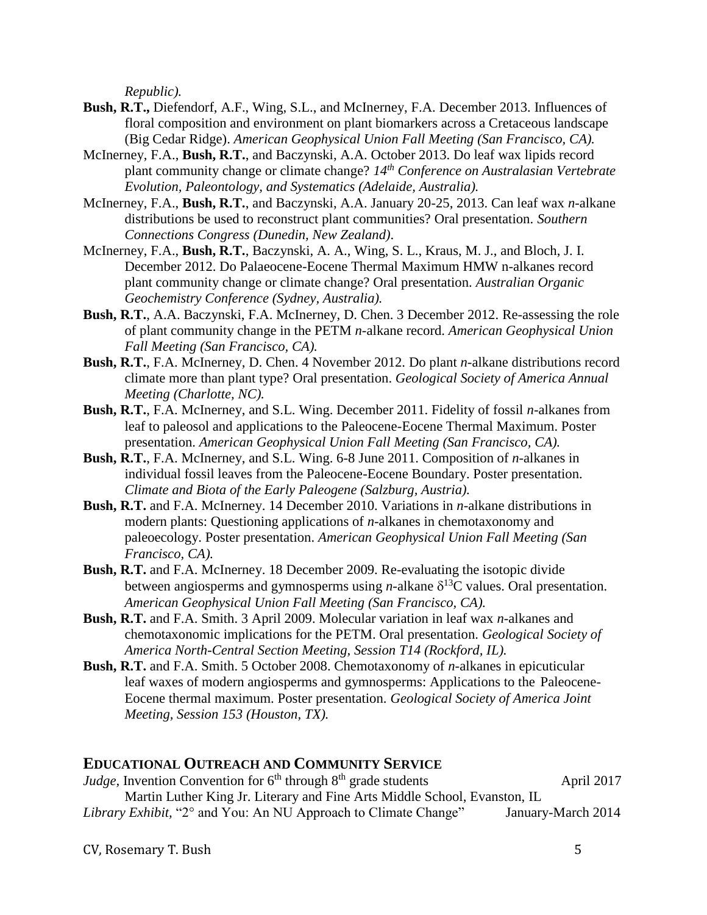*Republic).*

- **Bush, R.T.,** Diefendorf, A.F., Wing, S.L., and McInerney, F.A. December 2013. Influences of floral composition and environment on plant biomarkers across a Cretaceous landscape (Big Cedar Ridge). *American Geophysical Union Fall Meeting (San Francisco, CA).*
- McInerney, F.A., **Bush, R.T.**, and Baczynski, A.A. October 2013. Do leaf wax lipids record plant community change or climate change? *14th Conference on Australasian Vertebrate Evolution, Paleontology, and Systematics (Adelaide, Australia).*
- McInerney, F.A., **Bush, R.T.**, and Baczynski, A.A. January 20-25, 2013. Can leaf wax *n*-alkane distributions be used to reconstruct plant communities? Oral presentation. *Southern Connections Congress (Dunedin, New Zealand)*.
- McInerney, F.A., **Bush, R.T.**, Baczynski, A. A., Wing, S. L., Kraus, M. J., and Bloch, J. I. December 2012. Do Palaeocene-Eocene Thermal Maximum HMW n-alkanes record plant community change or climate change? Oral presentation. *Australian Organic Geochemistry Conference (Sydney, Australia).*
- **Bush, R.T.**, A.A. Baczynski, F.A. McInerney, D. Chen. 3 December 2012. Re-assessing the role of plant community change in the PETM *n*-alkane record. *American Geophysical Union Fall Meeting (San Francisco, CA).*
- **Bush, R.T.**, F.A. McInerney, D. Chen. 4 November 2012. Do plant *n*-alkane distributions record climate more than plant type? Oral presentation. *Geological Society of America Annual Meeting (Charlotte, NC).*
- **Bush, R.T.**, F.A. McInerney, and S.L. Wing. December 2011. Fidelity of fossil *n*-alkanes from leaf to paleosol and applications to the Paleocene-Eocene Thermal Maximum. Poster presentation. *American Geophysical Union Fall Meeting (San Francisco, CA).*
- **Bush, R.T.**, F.A. McInerney, and S.L. Wing. 6-8 June 2011. Composition of *n*-alkanes in individual fossil leaves from the Paleocene-Eocene Boundary. Poster presentation. *Climate and Biota of the Early Paleogene (Salzburg, Austria).*
- **Bush, R.T.** and F.A. McInerney. 14 December 2010. Variations in *n*-alkane distributions in modern plants: Questioning applications of *n*-alkanes in chemotaxonomy and paleoecology. Poster presentation. *American Geophysical Union Fall Meeting (San Francisco, CA).*
- **Bush, R.T.** and F.A. McInerney. 18 December 2009. Re-evaluating the isotopic divide between angiosperms and gymnosperms using *n*-alkane  $\delta^{13}$ C values. Oral presentation. *American Geophysical Union Fall Meeting (San Francisco, CA).*
- **Bush, R.T.** and F.A. Smith. 3 April 2009. Molecular variation in leaf wax *n*-alkanes and chemotaxonomic implications for the PETM. Oral presentation. *Geological Society of America North-Central Section Meeting, Session T14 (Rockford, IL).*
- **Bush, R.T.** and F.A. Smith. 5 October 2008. Chemotaxonomy of *n*-alkanes in epicuticular leaf waxes of modern angiosperms and gymnosperms: Applications to the Paleocene-Eocene thermal maximum. Poster presentation. *Geological Society of America Joint Meeting, Session 153 (Houston, TX).*

## **EDUCATIONAL OUTREACH AND COMMUNITY SERVICE**

| <i>Judge</i> , Invention Convention for $6th$ through $8th$ grade students | April 2017         |
|----------------------------------------------------------------------------|--------------------|
| Martin Luther King Jr. Literary and Fine Arts Middle School, Evanston, IL  |                    |
| Library Exhibit, "2° and You: An NU Approach to Climate Change"            | January-March 2014 |